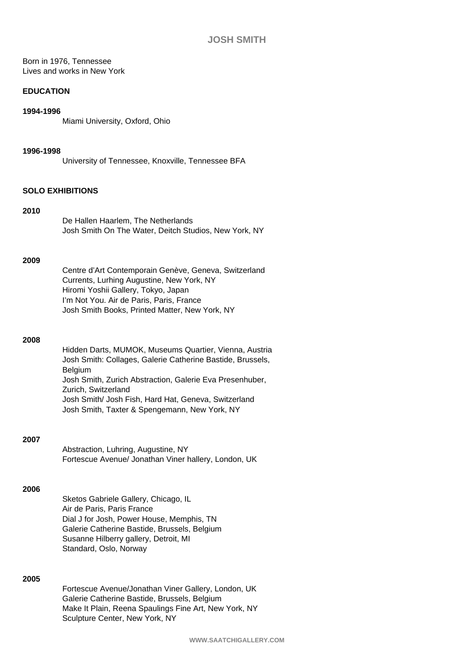Born in 1976, Tennessee Lives and works in New York

# **EDUCATION**

## **1994-1996**

Miami University, Oxford, Ohio

#### **1996-1998**

University of Tennessee, Knoxville, Tennessee BFA

## **SOLO EXHIBITIONS**

### **2010**

De Hallen Haarlem, The Netherlands Josh Smith On The Water, Deitch Studios, New York, NY

### **2009**

Centre d'Art Contemporain Genève, Geneva, Switzerland Currents, Lurhing Augustine, New York, NY Hiromi Yoshii Gallery, Tokyo, Japan I'm Not You. Air de Paris, Paris, France Josh Smith Books, Printed Matter, New York, NY

### **2008**

Hidden Darts, MUMOK, Museums Quartier, Vienna, Austria Josh Smith: Collages, Galerie Catherine Bastide, Brussels, Belgium Josh Smith, Zurich Abstraction, Galerie Eva Presenhuber, Zurich, Switzerland Josh Smith/ Josh Fish, Hard Hat, Geneva, Switzerland Josh Smith, Taxter & Spengemann, New York, NY

# **2007**

Abstraction, Luhring, Augustine, NY Fortescue Avenue/ Jonathan Viner hallery, London, UK

### **2006**

Sketos Gabriele Gallery, Chicago, IL Air de Paris, Paris France Dial J for Josh, Power House, Memphis, TN Galerie Catherine Bastide, Brussels, Belgium Susanne Hilberry gallery, Detroit, MI Standard, Oslo, Norway

# **2005**

Fortescue Avenue/Jonathan Viner Gallery, London, UK Galerie Catherine Bastide, Brussels, Belgium Make It Plain, Reena Spaulings Fine Art, New York, NY Sculpture Center, New York, NY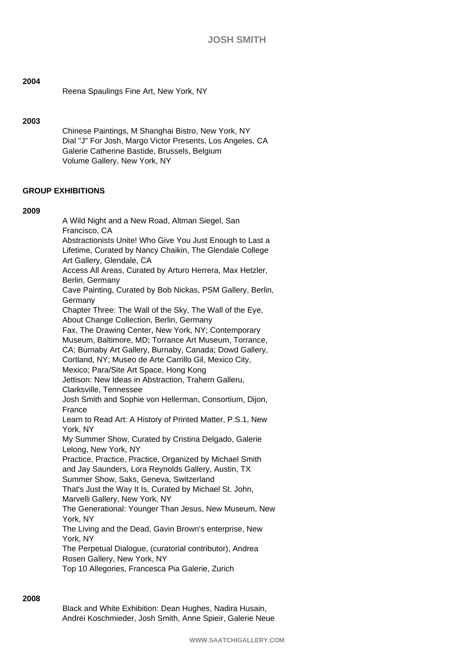Reena Spaulings Fine Art, New York, NY

# **2003**

Chinese Paintings, M Shanghai Bistro, New York, NY Dial "J" For Josh, Margo Victor Presents, Los Angeles, CA Galerie Catherine Bastide, Brussels, Belgium Volume Gallery, New York, NY

# **GROUP EXHIBITIONS**

### **2009**

A Wild Night and a New Road, Altman Siegel, San Francisco, CA Abstractionists Unite! Who Give You Just Enough to Last a Lifetime, Curated by Nancy Chaikin, The Glendale College Art Gallery, Glendale, CA Access All Areas, Curated by Arturo Herrera, Max Hetzler, Berlin, Germany Cave Painting, Curated by Bob Nickas, PSM Gallery, Berlin, **Germany** Chapter Three: The Wall of the Sky, The Wall of the Eye, About Change Collection, Berlin, Germany Fax, The Drawing Center, New York, NY; Contemporary Museum, Baltimore, MD; Torrance Art Museum, Torrance, CA; Burnaby Art Gallery, Burnaby, Canada; Dowd Gallery, Cortland, NY; Museo de Arte Carrillo Gil, Mexico City, Mexico; Para/Site Art Space, Hong Kong Jettison: New Ideas in Abstraction, Trahern Galleru, Clarksville, Tennessee Josh Smith and Sophie von Hellerman, Consortium, Dijon, France Learn to Read Art: A History of Printed Matter, P.S.1, New York, NY My Summer Show, Curated by Cristina Delgado, Galerie Lelong, New York, NY Practice, Practice, Practice, Organized by Michael Smith and Jay Saunders, Lora Reynolds Gallery, Austin, TX Summer Show, Saks, Geneva, Switzerland That's Just the Way It Is, Curated by Michael St. John, Marvelli Gallery, New York, NY The Generational: Younger Than Jesus, New Museum, New York, NY The Living and the Dead, Gavin Brown's enterprise, New York, NY The Perpetual Dialogue, (curatorial contributor), Andrea Rosen Gallery, New York, NY Top 10 Allegories, Francesca Pia Galerie, Zurich

### **2008**

Black and White Exhibition: Dean Hughes, Nadira Husain, Andrei Koschmieder, Josh Smith, Anne Spieir, Galerie Neue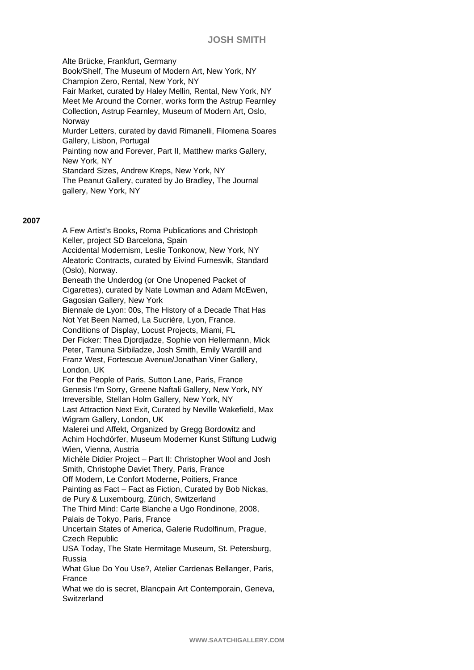# **JOSH SMITH**

Alte Brücke, Frankfurt, Germany Book/Shelf, The Museum of Modern Art, New York, NY Champion Zero, Rental, New York, NY Fair Market, curated by Haley Mellin, Rental, New York, NY Meet Me Around the Corner, works form the Astrup Fearnley Collection, Astrup Fearnley, Museum of Modern Art, Oslo, Norway Murder Letters, curated by david Rimanelli, Filomena Soares Gallery, Lisbon, Portugal Painting now and Forever, Part II, Matthew marks Gallery, New York, NY

Standard Sizes, Andrew Kreps, New York, NY The Peanut Gallery, curated by Jo Bradley, The Journal gallery, New York, NY

## **2007**

A Few Artist's Books, Roma Publications and Christoph Keller, project SD Barcelona, Spain Accidental Modernism, Leslie Tonkonow, New York, NY Aleatoric Contracts, curated by Eivind Furnesvik, Standard (Oslo), Norway. Beneath the Underdog (or One Unopened Packet of Cigarettes), curated by Nate Lowman and Adam McEwen, Gagosian Gallery, New York Biennale de Lyon: 00s, The History of a Decade That Has Not Yet Been Named, La Sucrière, Lyon, France. Conditions of Display, Locust Projects, Miami, FL Der Ficker: Thea Djordjadze, Sophie von Hellermann, Mick Peter, Tamuna Sirbiladze, Josh Smith, Emily Wardill and Franz West, Fortescue Avenue/Jonathan Viner Gallery, London, UK For the People of Paris, Sutton Lane, Paris, France Genesis I'm Sorry, Greene Naftali Gallery, New York, NY Irreversible, Stellan Holm Gallery, New York, NY Last Attraction Next Exit, Curated by Neville Wakefield, Max Wigram Gallery, London, UK Malerei und Affekt, Organized by Gregg Bordowitz and Achim Hochdörfer, Museum Moderner Kunst Stiftung Ludwig Wien, Vienna, Austria Michèle Didier Project – Part II: Christopher Wool and Josh Smith, Christophe Daviet Thery, Paris, France Off Modern, Le Confort Moderne, Poitiers, France Painting as Fact – Fact as Fiction, Curated by Bob Nickas, de Pury & Luxembourg, Zürich, Switzerland The Third Mind: Carte Blanche a Ugo Rondinone, 2008, Palais de Tokyo, Paris, France Uncertain States of America, Galerie Rudolfinum, Prague, Czech Republic USA Today, The State Hermitage Museum, St. Petersburg, Russia What Glue Do You Use?, Atelier Cardenas Bellanger, Paris, France What we do is secret, Blancpain Art Contemporain, Geneva, **Switzerland**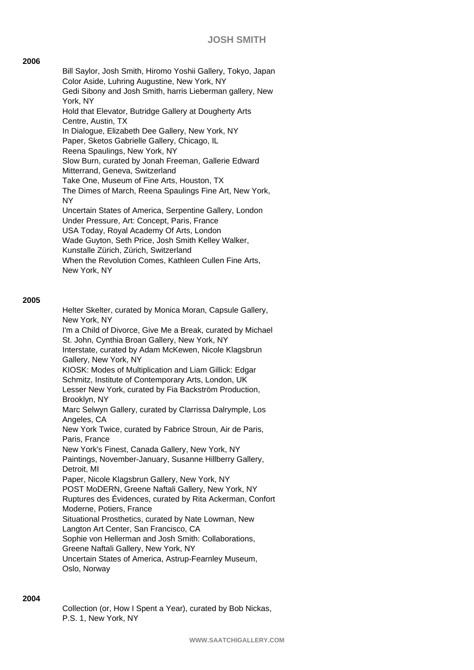# **JOSH SMITH**

### **2006**

Bill Saylor, Josh Smith, Hiromo Yoshii Gallery, Tokyo, Japan Color Aside, Luhring Augustine, New York, NY Gedi Sibony and Josh Smith, harris Lieberman gallery, New York, NY Hold that Elevator, Butridge Gallery at Dougherty Arts Centre, Austin, TX In Dialogue, Elizabeth Dee Gallery, New York, NY Paper, Sketos Gabrielle Gallery, Chicago, IL Reena Spaulings, New York, NY Slow Burn, curated by Jonah Freeman, Gallerie Edward Mitterrand, Geneva, Switzerland Take One, Museum of Fine Arts, Houston, TX The Dimes of March, Reena Spaulings Fine Art, New York, NY Uncertain States of America, Serpentine Gallery, London Under Pressure, Art: Concept, Paris, France USA Today, Royal Academy Of Arts, London Wade Guyton, Seth Price, Josh Smith Kelley Walker, Kunstalle Zürich, Zürich, Switzerland When the Revolution Comes, Kathleen Cullen Fine Arts, New York, NY

### **2005**

Helter Skelter, curated by Monica Moran, Capsule Gallery, New York, NY I'm a Child of Divorce, Give Me a Break, curated by Michael St. John, Cynthia Broan Gallery, New York, NY Interstate, curated by Adam McKewen, Nicole Klagsbrun Gallery, New York, NY KIOSK: Modes of Multiplication and Liam Gillick: Edgar Schmitz, Institute of Contemporary Arts, London, UK Lesser New York, curated by Fia Backström Production, Brooklyn, NY Marc Selwyn Gallery, curated by Clarrissa Dalrymple, Los Angeles, CA New York Twice, curated by Fabrice Stroun, Air de Paris, Paris, France New York's Finest, Canada Gallery, New York, NY Paintings, November-January, Susanne Hillberry Gallery, Detroit, MI Paper, Nicole Klagsbrun Gallery, New York, NY POST MoDERN, Greene Naftali Gallery, New York, NY Ruptures des Évidences, curated by Rita Ackerman, Confort Moderne, Potiers, France Situational Prosthetics, curated by Nate Lowman, New Langton Art Center, San Francisco, CA Sophie von Hellerman and Josh Smith: Collaborations, Greene Naftali Gallery, New York, NY Uncertain States of America, Astrup-Fearnley Museum, Oslo, Norway

### **2004**

Collection (or, How I Spent a Year), curated by Bob Nickas, P.S. 1, New York, NY